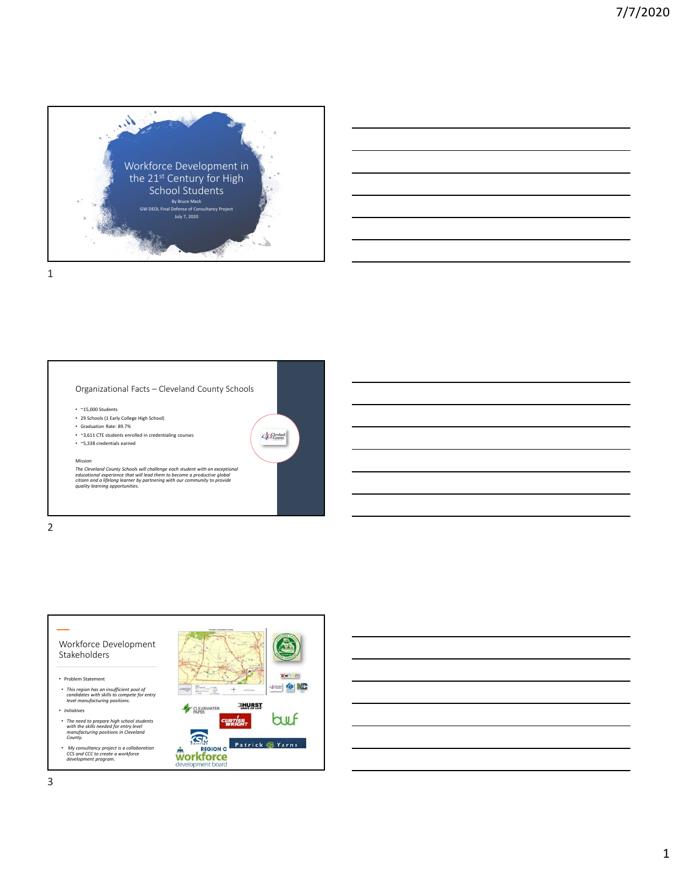





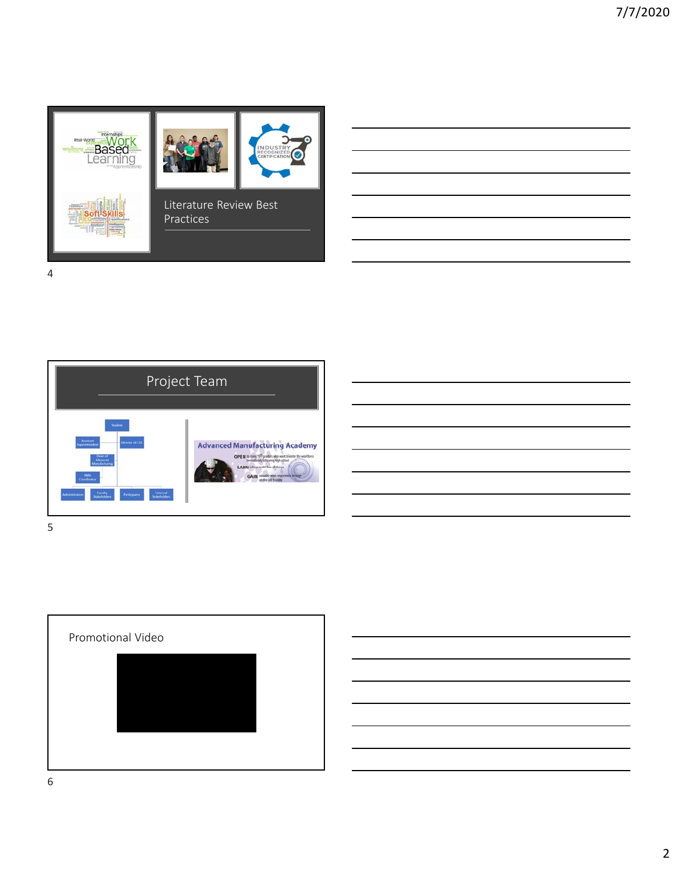



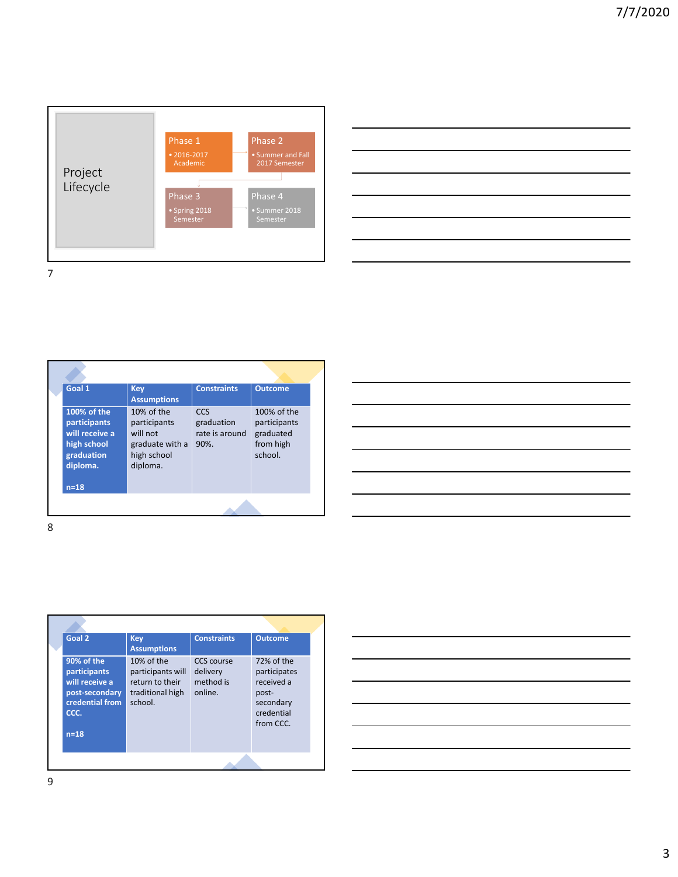

| <u> 1989 - Johann Stein, mars et al. 1989 - Anna ann an t-Anna ann an t-Anna ann an t-Anna ann an t-Anna ann an t-</u> |  | ______ |
|------------------------------------------------------------------------------------------------------------------------|--|--------|
|                                                                                                                        |  |        |
|                                                                                                                        |  |        |
|                                                                                                                        |  |        |
| <u> 1989 - Johann John Stein, markin sanadi a shekara ta 1989 - An tsara tsara tsara tsara tsara tsara tsara tsa</u>   |  |        |
|                                                                                                                        |  |        |
|                                                                                                                        |  |        |
|                                                                                                                        |  |        |

| Goal 1                                                                                           | <b>Key</b><br><b>Assumptions</b>                                                     | <b>Constraints</b>                          | <b>Outcome</b>                                                   |  |
|--------------------------------------------------------------------------------------------------|--------------------------------------------------------------------------------------|---------------------------------------------|------------------------------------------------------------------|--|
| 100% of the<br>participants<br>will receive a<br>high school<br>graduation<br>diploma.<br>$n=18$ | 10% of the<br>participants<br>will not<br>graduate with a<br>high school<br>diploma. | CCS<br>graduation<br>rate is around<br>90%. | 100% of the<br>participants<br>graduated<br>from high<br>school. |  |
|                                                                                                  |                                                                                      |                                             |                                                                  |  |

| Goal 2                                                                                              | <b>Key</b><br><b>Assumptions</b>                                                  | <b>Constraints</b>                             | <b>Outcome</b>                                                                            |
|-----------------------------------------------------------------------------------------------------|-----------------------------------------------------------------------------------|------------------------------------------------|-------------------------------------------------------------------------------------------|
| 90% of the<br>participants<br>will receive a<br>post-secondary<br>credential from<br>CCC.<br>$n=18$ | 10% of the<br>participants will<br>return to their<br>traditional high<br>school. | CCS course<br>delivery<br>method is<br>online. | 72% of the<br>participates<br>received a<br>post-<br>secondary<br>credential<br>from CCC. |
|                                                                                                     |                                                                                   |                                                |                                                                                           |

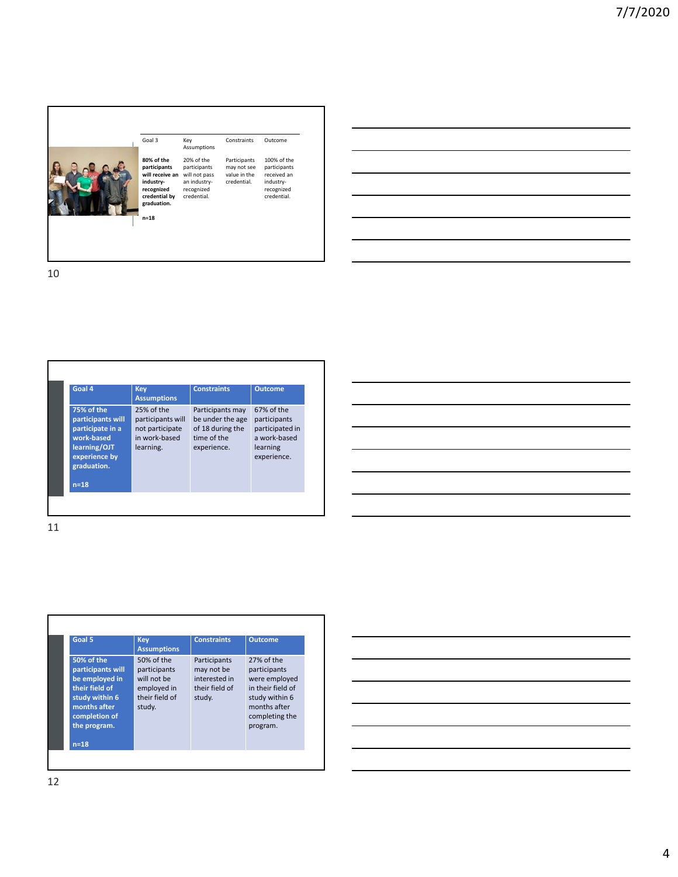| 80% of the<br>20% of the<br>100% of the<br>Participants<br>participants<br>participants<br>participants<br>may not see<br>will receive an<br>received an<br>will not pass<br>value in the<br>an industry-<br>credential.<br>industry-<br>industry-<br>recognized<br>recognized<br>recognized<br>credential.<br>credential.<br>credential by<br>graduation. | Goal 3 | Key<br>Assumptions | Constraints | Outcome |
|------------------------------------------------------------------------------------------------------------------------------------------------------------------------------------------------------------------------------------------------------------------------------------------------------------------------------------------------------------|--------|--------------------|-------------|---------|
|                                                                                                                                                                                                                                                                                                                                                            |        |                    |             |         |

| Goal 4                                                                                                                      | Key<br><b>Assumptions</b>                                                        | <b>Constraints</b>                                                                     | <b>Outcome</b>                                                                           |
|-----------------------------------------------------------------------------------------------------------------------------|----------------------------------------------------------------------------------|----------------------------------------------------------------------------------------|------------------------------------------------------------------------------------------|
| 75% of the<br>participants will<br>participate in a<br>work-based<br>learning/OJT<br>experience by<br>graduation.<br>$n=18$ | 25% of the<br>participants will<br>not participate<br>in work-based<br>learning. | Participants may<br>be under the age<br>of 18 during the<br>time of the<br>experience. | 67% of the<br>participants<br>participated in<br>a work-based<br>learning<br>experience. |

| <u> 2000 - John Harry Harry Harry Harry Harry Harry Harry Harry Harry Harry Harry Harry Harry Harry Harry Harry Harry Harry Harry Harry Harry Harry Harry Harry Harry Harry Harry Harry Harry Harry Harry Harry Harry Harry Harr</u> |  | ______                   |
|--------------------------------------------------------------------------------------------------------------------------------------------------------------------------------------------------------------------------------------|--|--------------------------|
|                                                                                                                                                                                                                                      |  |                          |
| <u>. In the second contract of the second contract of the second contract of the second contract of the second con</u>                                                                                                               |  |                          |
|                                                                                                                                                                                                                                      |  |                          |
| <u> 1989 - Johann Stoff, deutscher Stoffen und der Stoffen und der Stoffen und der Stoffen und der Stoffen und der</u>                                                                                                               |  | ____                     |
|                                                                                                                                                                                                                                      |  |                          |
|                                                                                                                                                                                                                                      |  | $\overline{\phantom{a}}$ |
|                                                                                                                                                                                                                                      |  |                          |
|                                                                                                                                                                                                                                      |  |                          |
|                                                                                                                                                                                                                                      |  |                          |
|                                                                                                                                                                                                                                      |  |                          |
|                                                                                                                                                                                                                                      |  |                          |

11

| Goal 5                                                                                                                                           | <b>Key</b><br><b>Assumptions</b>                                                     | <b>Constraints</b>                                                      | <b>Outcome</b>                                                                                                                   |
|--------------------------------------------------------------------------------------------------------------------------------------------------|--------------------------------------------------------------------------------------|-------------------------------------------------------------------------|----------------------------------------------------------------------------------------------------------------------------------|
| 50% of the<br>participants will<br>be employed in<br>their field of<br>study within 6<br>months after<br>completion of<br>the program.<br>$n=18$ | 50% of the<br>participants<br>will not be<br>employed in<br>their field of<br>study. | Participants<br>may not be<br>interested in<br>their field of<br>study. | 27% of the<br>participants<br>were employed<br>in their field of<br>study within 6<br>months after<br>completing the<br>program. |

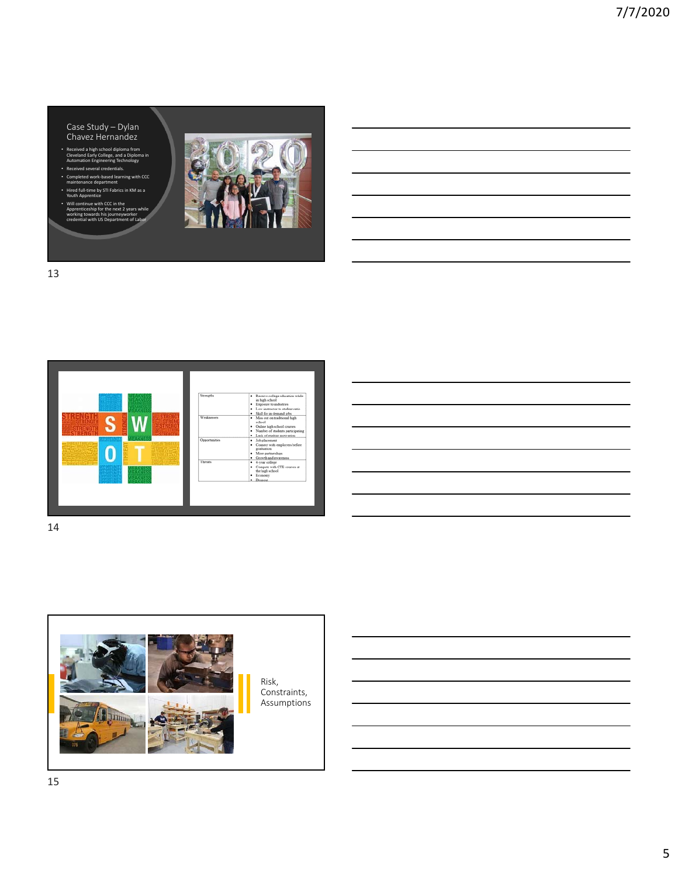Case Study – Dylan Chavez Hernandez

- Received a high school diploma from Cleveland Early College, and a Diploma in Automation Engineering Technology
- ed several credentials. • Completed work‐based learning with CCC maintenance department
- Hired full‐time by STI Fabrics in KM as a Youth Apprentice
- with CCC in the man become<br>p for the next 2 y working towards his journeyworker credential with US Department of Labor



13